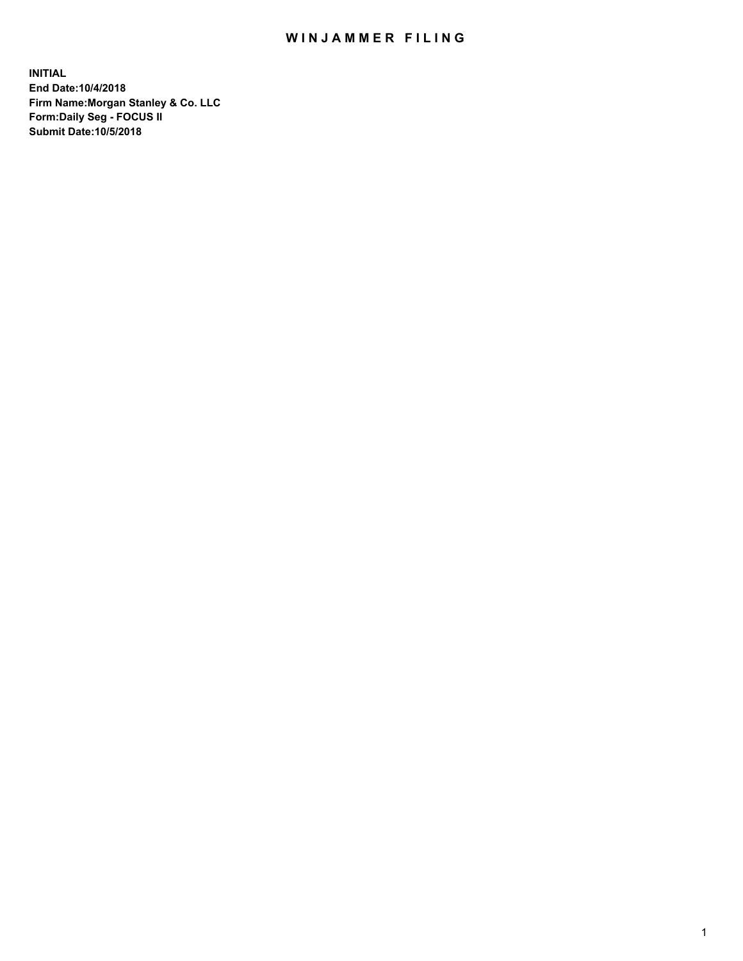## WIN JAMMER FILING

**INITIAL End Date:10/4/2018 Firm Name:Morgan Stanley & Co. LLC Form:Daily Seg - FOCUS II Submit Date:10/5/2018**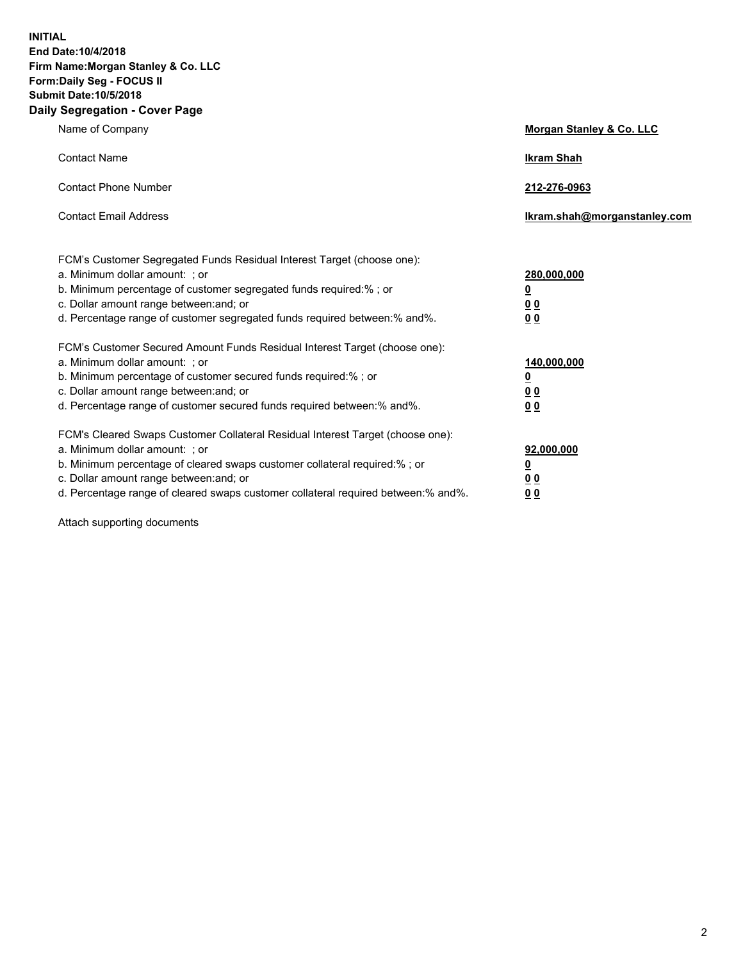**INITIAL End Date:10/4/2018 Firm Name:Morgan Stanley & Co. LLC Form:Daily Seg - FOCUS II Submit Date:10/5/2018 Daily Segregation - Cover Page**

| Name of Company                                                                                                                                                                                                                                                                                                                | Morgan Stanley & Co. LLC                               |
|--------------------------------------------------------------------------------------------------------------------------------------------------------------------------------------------------------------------------------------------------------------------------------------------------------------------------------|--------------------------------------------------------|
| <b>Contact Name</b>                                                                                                                                                                                                                                                                                                            | <b>Ikram Shah</b>                                      |
| <b>Contact Phone Number</b>                                                                                                                                                                                                                                                                                                    | 212-276-0963                                           |
| <b>Contact Email Address</b>                                                                                                                                                                                                                                                                                                   | lkram.shah@morganstanley.com                           |
| FCM's Customer Segregated Funds Residual Interest Target (choose one):<br>a. Minimum dollar amount: ; or<br>b. Minimum percentage of customer segregated funds required:% ; or<br>c. Dollar amount range between: and; or<br>d. Percentage range of customer segregated funds required between:% and%.                         | 280,000,000<br><u>0</u><br><u>0 0</u><br>0 Q           |
| FCM's Customer Secured Amount Funds Residual Interest Target (choose one):<br>a. Minimum dollar amount: ; or<br>b. Minimum percentage of customer secured funds required:%; or<br>c. Dollar amount range between: and; or<br>d. Percentage range of customer secured funds required between:% and%.                            | 140,000,000<br><u>0</u><br><u>00</u><br>0 <sub>0</sub> |
| FCM's Cleared Swaps Customer Collateral Residual Interest Target (choose one):<br>a. Minimum dollar amount: ; or<br>b. Minimum percentage of cleared swaps customer collateral required:% ; or<br>c. Dollar amount range between: and; or<br>d. Percentage range of cleared swaps customer collateral required between:% and%. | 92,000,000<br><u>0</u><br><u>00</u><br>0 <sup>0</sup>  |

Attach supporting documents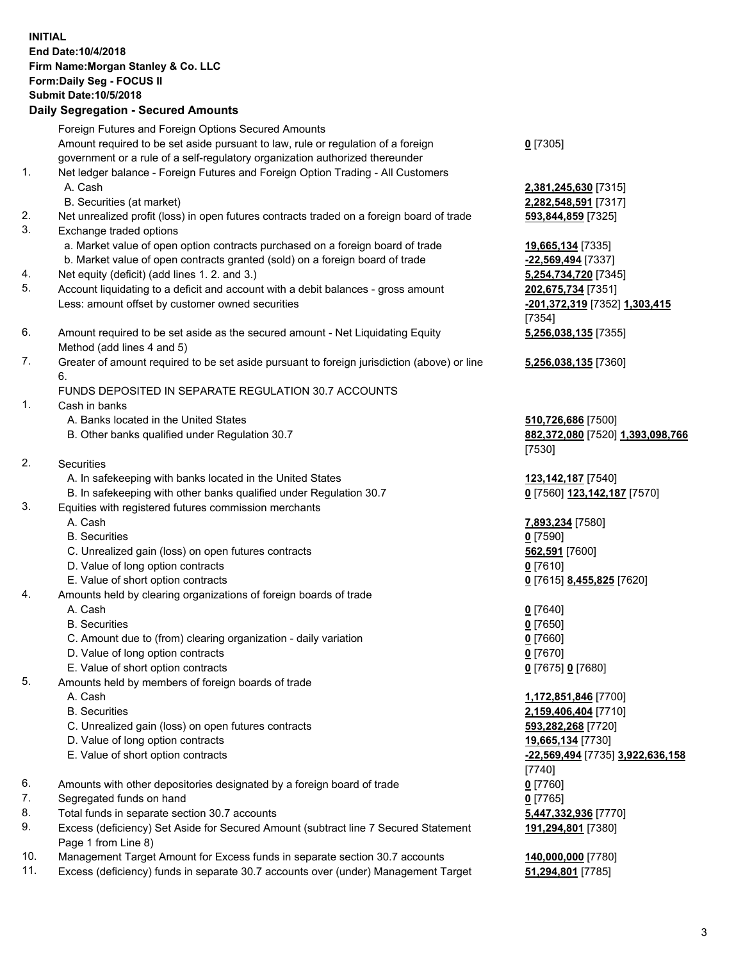## **INITIAL End Date:10/4/2018 Firm Name:Morgan Stanley & Co. LLC Form:Daily Seg - FOCUS II Submit Date:10/5/2018 Daily Segregation - Secured Amounts** Foreign Futures and Foreign Options Secured Amounts Amount required to be set aside pursuant to law, rule or regulation of a foreign government or a rule of a self-regulatory organization authorized thereunder 1. Net ledger balance - Foreign Futures and Foreign Option Trading - All Customers A. Cash **2,381,245,630** [7315] B. Securities (at market) **2,282,548,591** [7317] 2. Net unrealized profit (loss) in open futures contracts traded on a foreign board of trade **593,844,859** [7325] 3. Exchange traded options a. Market value of open option contracts purchased on a foreign board of trade **19,665,134** [7335] b. Market value of open contracts granted (sold) on a foreign board of trade **-22,569,494** [7337] 4. Net equity (deficit) (add lines 1. 2. and 3.) **5,254,734,720** [7345] 5. Account liquidating to a deficit and account with a debit balances - gross amount **202,675,734** [7351] Less: amount offset by customer owned securities **-201,372,319** [7352] **1,303,415** 6. Amount required to be set aside as the secured amount - Net Liquidating Equity Method (add lines 4 and 5) 7. Greater of amount required to be set aside pursuant to foreign jurisdiction (above) or line 6. FUNDS DEPOSITED IN SEPARATE REGULATION 30.7 ACCOUNTS 1. Cash in banks A. Banks located in the United States **510,726,686** [7500] B. Other banks qualified under Regulation 30.7 **882,372,080** [7520] **1,393,098,766** 2. Securities A. In safekeeping with banks located in the United States **123,142,187** [7540] B. In safekeeping with other banks qualified under Regulation 30.7 **0** [7560] **123,142,187** [7570] 3. Equities with registered futures commission merchants A. Cash **7,893,234** [7580] B. Securities **0** [7590] C. Unrealized gain (loss) on open futures contracts **562,591** [7600] D. Value of long option contracts **0** [7610] E. Value of short option contracts **0** [7615] **8,455,825** [7620] 4. Amounts held by clearing organizations of foreign boards of trade A. Cash **0** [7640] B. Securities **0** [7650] C. Amount due to (from) clearing organization - daily variation **0** [7660] D. Value of long option contracts **0** [7670] E. Value of short option contracts **0** [7675] **0** [7680] 5. Amounts held by members of foreign boards of trade A. Cash **1,172,851,846** [7700]

- 
- C. Unrealized gain (loss) on open futures contracts **593,282,268** [7720]
- D. Value of long option contracts **19,665,134** [7730]
- E. Value of short option contracts **-22,569,494** [7735] **3,922,636,158**
- 6. Amounts with other depositories designated by a foreign board of trade **0** [7760]
- 7. Segregated funds on hand **0** [7765]
- 8. Total funds in separate section 30.7 accounts **5,447,332,936** [7770]
- 9. Excess (deficiency) Set Aside for Secured Amount (subtract line 7 Secured Statement Page 1 from Line 8)
- 10. Management Target Amount for Excess funds in separate section 30.7 accounts **140,000,000** [7780]
- 11. Excess (deficiency) funds in separate 30.7 accounts over (under) Management Target **51,294,801** [7785]

**0** [7305]

[7354] **5,256,038,135** [7355]

**5,256,038,135** [7360]

[7530]

 B. Securities **2,159,406,404** [7710] [7740] **191,294,801** [7380]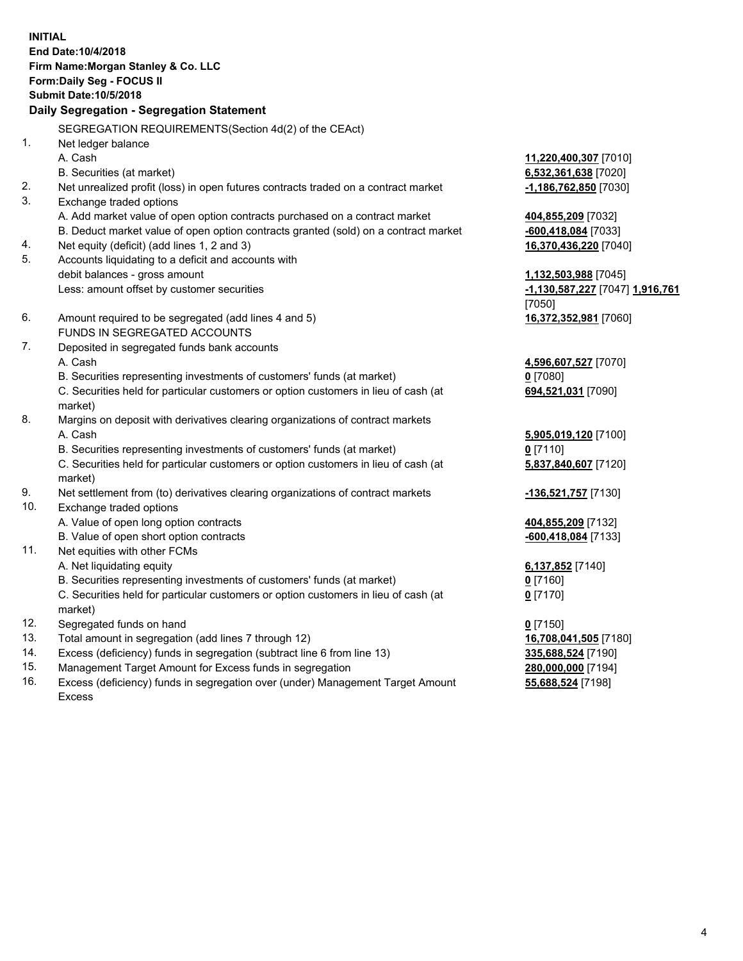**INITIAL End Date:10/4/2018 Firm Name:Morgan Stanley & Co. LLC Form:Daily Seg - FOCUS II Submit Date:10/5/2018 Daily Segregation - Segregation Statement** SEGREGATION REQUIREMENTS(Section 4d(2) of the CEAct) 1. Net ledger balance A. Cash **11,220,400,307** [7010] B. Securities (at market) **6,532,361,638** [7020] 2. Net unrealized profit (loss) in open futures contracts traded on a contract market **-1,186,762,850** [7030] 3. Exchange traded options A. Add market value of open option contracts purchased on a contract market **404,855,209** [7032] B. Deduct market value of open option contracts granted (sold) on a contract market **-600,418,084** [7033] 4. Net equity (deficit) (add lines 1, 2 and 3) **16,370,436,220** [7040] 5. Accounts liquidating to a deficit and accounts with debit balances - gross amount **1,132,503,988** [7045] Less: amount offset by customer securities **-1,130,587,227** [7047] **1,916,761** [7050] 6. Amount required to be segregated (add lines 4 and 5) **16,372,352,981** [7060] FUNDS IN SEGREGATED ACCOUNTS 7. Deposited in segregated funds bank accounts A. Cash **4,596,607,527** [7070] B. Securities representing investments of customers' funds (at market) **0** [7080] C. Securities held for particular customers or option customers in lieu of cash (at market) **694,521,031** [7090] 8. Margins on deposit with derivatives clearing organizations of contract markets A. Cash **5,905,019,120** [7100] B. Securities representing investments of customers' funds (at market) **0** [7110] C. Securities held for particular customers or option customers in lieu of cash (at market) **5,837,840,607** [7120] 9. Net settlement from (to) derivatives clearing organizations of contract markets **-136,521,757** [7130] 10. Exchange traded options A. Value of open long option contracts **404,855,209** [7132] B. Value of open short option contracts **and the set of our of the set of our of the set of our of the set of the set of the set of the set of the set of the set of the set of the set of the set of the set of the set of th** 11. Net equities with other FCMs A. Net liquidating equity **6,137,852** [7140] B. Securities representing investments of customers' funds (at market) **0** [7160] C. Securities held for particular customers or option customers in lieu of cash (at market) **0** [7170] 12. Segregated funds on hand **0** [7150] 13. Total amount in segregation (add lines 7 through 12) **16,708,041,505** [7180] 14. Excess (deficiency) funds in segregation (subtract line 6 from line 13) **335,688,524** [7190]

- 15. Management Target Amount for Excess funds in segregation **280,000,000** [7194]
- 16. Excess (deficiency) funds in segregation over (under) Management Target Amount Excess

**55,688,524** [7198]